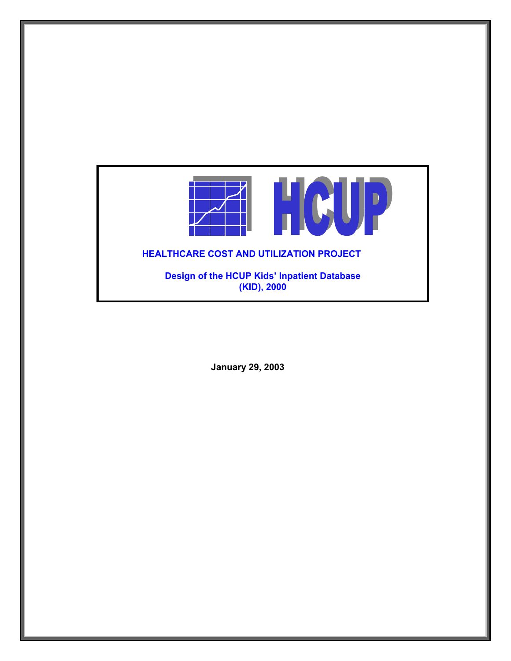

**January 29, 2003**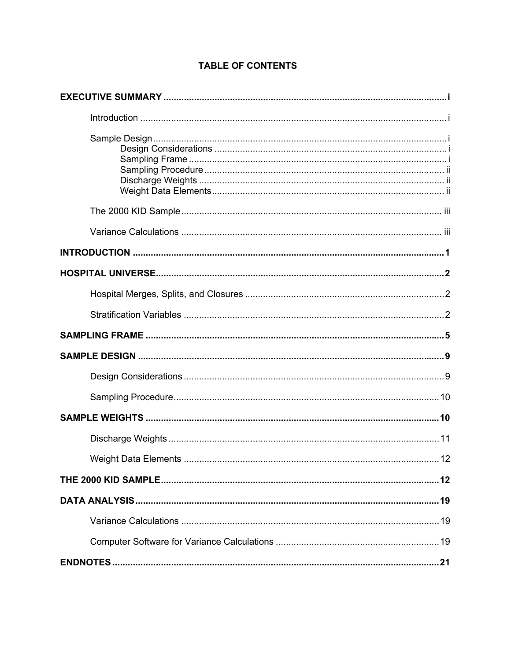# **TABLE OF CONTENTS**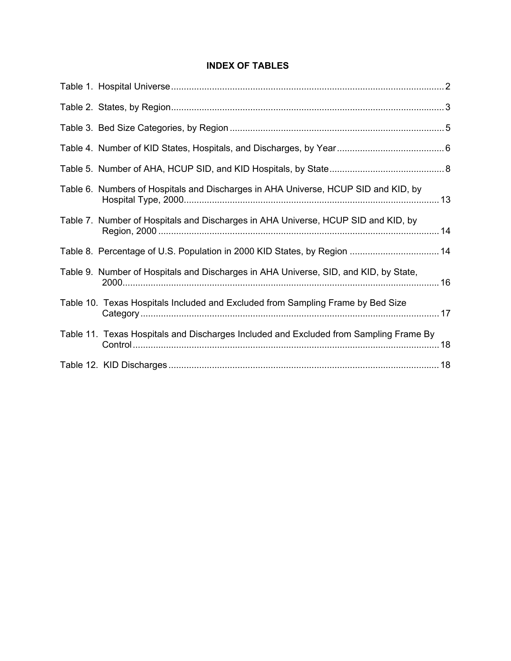# **INDEX OF TABLES**

| Table 6. Numbers of Hospitals and Discharges in AHA Universe, HCUP SID and KID, by    |  |
|---------------------------------------------------------------------------------------|--|
| Table 7. Number of Hospitals and Discharges in AHA Universe, HCUP SID and KID, by     |  |
| Table 8. Percentage of U.S. Population in 2000 KID States, by Region  14              |  |
| Table 9. Number of Hospitals and Discharges in AHA Universe, SID, and KID, by State,  |  |
| Table 10. Texas Hospitals Included and Excluded from Sampling Frame by Bed Size       |  |
| Table 11. Texas Hospitals and Discharges Included and Excluded from Sampling Frame By |  |
|                                                                                       |  |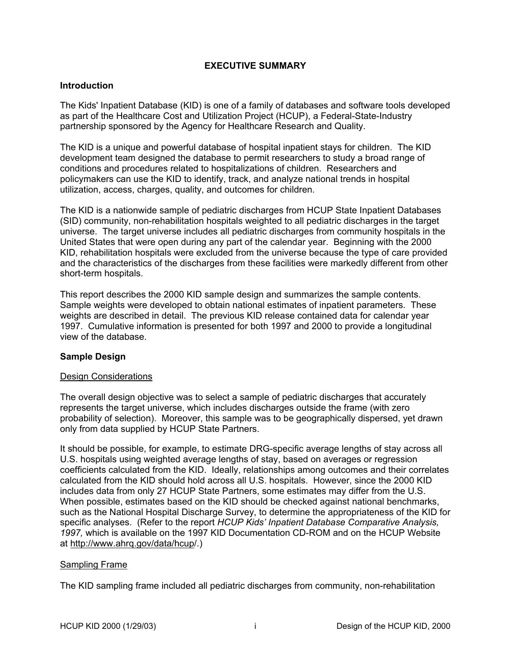#### **EXECUTIVE SUMMARY**

#### <span id="page-3-0"></span>**Introduction**

The Kids' Inpatient Database (KID) is one of a family of databases and software tools developed as part of the Healthcare Cost and Utilization Project (HCUP), a Federal-State-Industry partnership sponsored by the Agency for Healthcare Research and Quality.

The KID is a unique and powerful database of hospital inpatient stays for children. The KID development team designed the database to permit researchers to study a broad range of conditions and procedures related to hospitalizations of children. Researchers and policymakers can use the KID to identify, track, and analyze national trends in hospital utilization, access, charges, quality, and outcomes for children.

The KID is a nationwide sample of pediatric discharges from HCUP State Inpatient Databases (SID) community, non-rehabilitation hospitals weighted to all pediatric discharges in the target universe. The target universe includes all pediatric discharges from community hospitals in the United States that were open during any part of the calendar year. Beginning with the 2000 KID, rehabilitation hospitals were excluded from the universe because the type of care provided and the characteristics of the discharges from these facilities were markedly different from other short-term hospitals.

This report describes the 2000 KID sample design and summarizes the sample contents. Sample weights were developed to obtain national estimates of inpatient parameters. These weights are described in detail. The previous KID release contained data for calendar year 1997. Cumulative information is presented for both 1997 and 2000 to provide a longitudinal view of the database.

# **Sample Design**

#### Design Considerations

The overall design objective was to select a sample of pediatric discharges that accurately represents the target universe, which includes discharges outside the frame (with zero probability of selection). Moreover, this sample was to be geographically dispersed, yet drawn only from data supplied by HCUP State Partners.

It should be possible, for example, to estimate DRG-specific average lengths of stay across all U.S. hospitals using weighted average lengths of stay, based on averages or regression coefficients calculated from the KID. Ideally, relationships among outcomes and their correlates calculated from the KID should hold across all U.S. hospitals. However, since the 2000 KID includes data from only 27 HCUP State Partners, some estimates may differ from the U.S. When possible, estimates based on the KID should be checked against national benchmarks, such as the National Hospital Discharge Survey, to determine the appropriateness of the KID for specific analyses. (Refer to the report *HCUP Kids' Inpatient Database Comparative Analysis, 1997,* which is available on the 1997 KID Documentation CD-ROM and on the HCUP Website at [http://www.ahrq.gov/data/hcup/](http://www.ahrq.gov/data/hcup).)

#### Sampling Frame

The KID sampling frame included all pediatric discharges from community, non-rehabilitation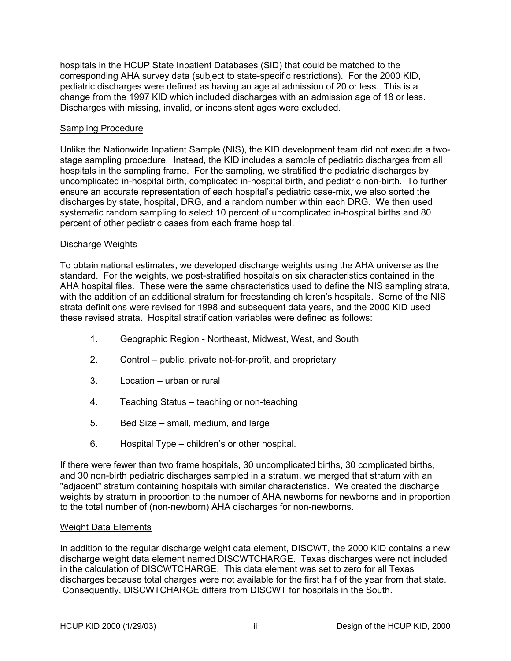<span id="page-4-0"></span>hospitals in the HCUP State Inpatient Databases (SID) that could be matched to the corresponding AHA survey data (subject to state-specific restrictions). For the 2000 KID, pediatric discharges were defined as having an age at admission of 20 or less. This is a change from the 1997 KID which included discharges with an admission age of 18 or less. Discharges with missing, invalid, or inconsistent ages were excluded.

#### Sampling Procedure

Unlike the Nationwide Inpatient Sample (NIS), the KID development team did not execute a twostage sampling procedure. Instead, the KID includes a sample of pediatric discharges from all hospitals in the sampling frame. For the sampling, we stratified the pediatric discharges by uncomplicated in-hospital birth, complicated in-hospital birth, and pediatric non-birth. To further ensure an accurate representation of each hospital's pediatric case-mix, we also sorted the discharges by state, hospital, DRG, and a random number within each DRG. We then used systematic random sampling to select 10 percent of uncomplicated in-hospital births and 80 percent of other pediatric cases from each frame hospital.

#### Discharge Weights

To obtain national estimates, we developed discharge weights using the AHA universe as the standard. For the weights, we post-stratified hospitals on six characteristics contained in the AHA hospital files. These were the same characteristics used to define the NIS sampling strata, with the addition of an additional stratum for freestanding children's hospitals. Some of the NIS strata definitions were revised for 1998 and subsequent data years, and the 2000 KID used these revised strata. Hospital stratification variables were defined as follows:

- 1. Geographic Region Northeast, Midwest, West, and South
- 2. Control public, private not-for-profit, and proprietary
- 3. Location urban or rural
- 4. Teaching Status teaching or non-teaching
- 5. Bed Size small, medium, and large
- 6. Hospital Type children's or other hospital.

If there were fewer than two frame hospitals, 30 uncomplicated births, 30 complicated births, and 30 non-birth pediatric discharges sampled in a stratum, we merged that stratum with an "adjacent" stratum containing hospitals with similar characteristics. We created the discharge weights by stratum in proportion to the number of AHA newborns for newborns and in proportion to the total number of (non-newborn) AHA discharges for non-newborns.

#### Weight Data Elements

In addition to the regular discharge weight data element, DISCWT, the 2000 KID contains a new discharge weight data element named DISCWTCHARGE. Texas discharges were not included in the calculation of DISCWTCHARGE. This data element was set to zero for all Texas discharges because total charges were not available for the first half of the year from that state. Consequently, DISCWTCHARGE differs from DISCWT for hospitals in the South.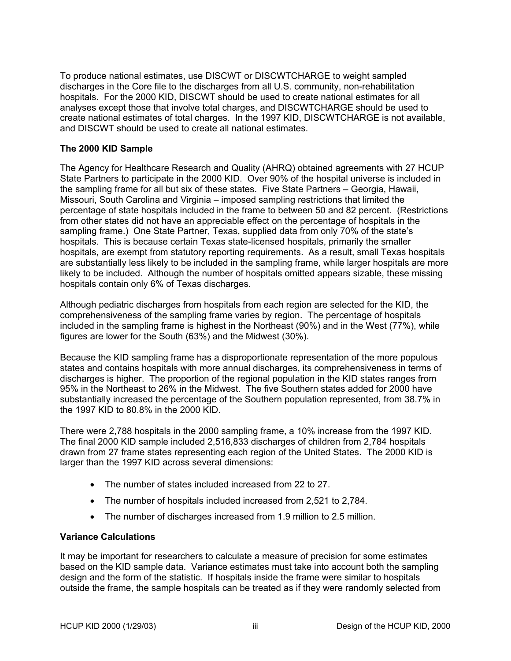<span id="page-5-0"></span>To produce national estimates, use DISCWT or DISCWTCHARGE to weight sampled discharges in the Core file to the discharges from all U.S. community, non-rehabilitation hospitals. For the 2000 KID, DISCWT should be used to create national estimates for all analyses except those that involve total charges, and DISCWTCHARGE should be used to create national estimates of total charges. In the 1997 KID, DISCWTCHARGE is not available, and DISCWT should be used to create all national estimates.

# **The 2000 KID Sample**

The Agency for Healthcare Research and Quality (AHRQ) obtained agreements with 27 HCUP State Partners to participate in the 2000 KID. Over 90% of the hospital universe is included in the sampling frame for all but six of these states. Five State Partners – Georgia, Hawaii, Missouri, South Carolina and Virginia – imposed sampling restrictions that limited the percentage of state hospitals included in the frame to between 50 and 82 percent. (Restrictions from other states did not have an appreciable effect on the percentage of hospitals in the sampling frame.) One State Partner, Texas, supplied data from only 70% of the state's hospitals. This is because certain Texas state-licensed hospitals, primarily the smaller hospitals, are exempt from statutory reporting requirements. As a result, small Texas hospitals are substantially less likely to be included in the sampling frame, while larger hospitals are more likely to be included. Although the number of hospitals omitted appears sizable, these missing hospitals contain only 6% of Texas discharges.

Although pediatric discharges from hospitals from each region are selected for the KID, the comprehensiveness of the sampling frame varies by region. The percentage of hospitals included in the sampling frame is highest in the Northeast (90%) and in the West (77%), while figures are lower for the South (63%) and the Midwest (30%).

Because the KID sampling frame has a disproportionate representation of the more populous states and contains hospitals with more annual discharges, its comprehensiveness in terms of discharges is higher. The proportion of the regional population in the KID states ranges from 95% in the Northeast to 26% in the Midwest. The five Southern states added for 2000 have substantially increased the percentage of the Southern population represented, from 38.7% in the 1997 KID to 80.8% in the 2000 KID.

There were 2,788 hospitals in the 2000 sampling frame, a 10% increase from the 1997 KID. The final 2000 KID sample included 2,516,833 discharges of children from 2,784 hospitals drawn from 27 frame states representing each region of the United States. The 2000 KID is larger than the 1997 KID across several dimensions:

- The number of states included increased from 22 to 27.
- The number of hospitals included increased from 2,521 to 2,784.
- The number of discharges increased from 1.9 million to 2.5 million.

#### **Variance Calculations**

It may be important for researchers to calculate a measure of precision for some estimates based on the KID sample data. Variance estimates must take into account both the sampling design and the form of the statistic. If hospitals inside the frame were similar to hospitals outside the frame, the sample hospitals can be treated as if they were randomly selected from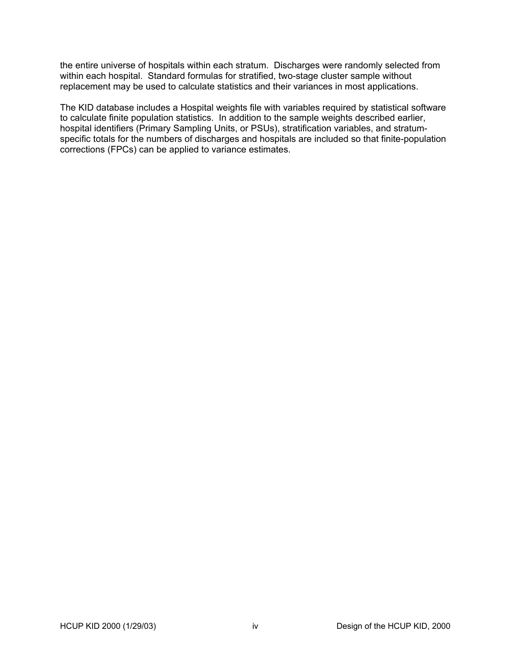the entire universe of hospitals within each stratum. Discharges were randomly selected from within each hospital. Standard formulas for stratified, two-stage cluster sample without replacement may be used to calculate statistics and their variances in most applications.

The KID database includes a Hospital weights file with variables required by statistical software to calculate finite population statistics. In addition to the sample weights described earlier, hospital identifiers (Primary Sampling Units, or PSUs), stratification variables, and stratumspecific totals for the numbers of discharges and hospitals are included so that finite-population corrections (FPCs) can be applied to variance estimates.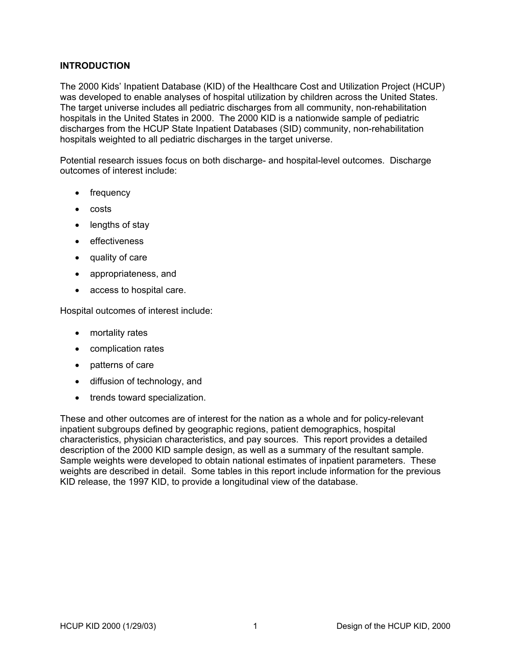# <span id="page-7-0"></span>**INTRODUCTION**

The 2000 Kids' Inpatient Database (KID) of the Healthcare Cost and Utilization Project (HCUP) was developed to enable analyses of hospital utilization by children across the United States. The target universe includes all pediatric discharges from all community, non-rehabilitation hospitals in the United States in 2000. The 2000 KID is a nationwide sample of pediatric discharges from the HCUP State Inpatient Databases (SID) community, non-rehabilitation hospitals weighted to all pediatric discharges in the target universe.

Potential research issues focus on both discharge- and hospital-level outcomes. Discharge outcomes of interest include:

- frequency
- costs
- lengths of stay
- effectiveness
- quality of care
- appropriateness, and
- access to hospital care.

Hospital outcomes of interest include:

- mortality rates
- complication rates
- patterns of care
- diffusion of technology, and
- trends toward specialization.

These and other outcomes are of interest for the nation as a whole and for policy-relevant inpatient subgroups defined by geographic regions, patient demographics, hospital characteristics, physician characteristics, and pay sources. This report provides a detailed description of the 2000 KID sample design, as well as a summary of the resultant sample. Sample weights were developed to obtain national estimates of inpatient parameters. These weights are described in detail. Some tables in this report include information for the previous KID release, the 1997 KID, to provide a longitudinal view of the database.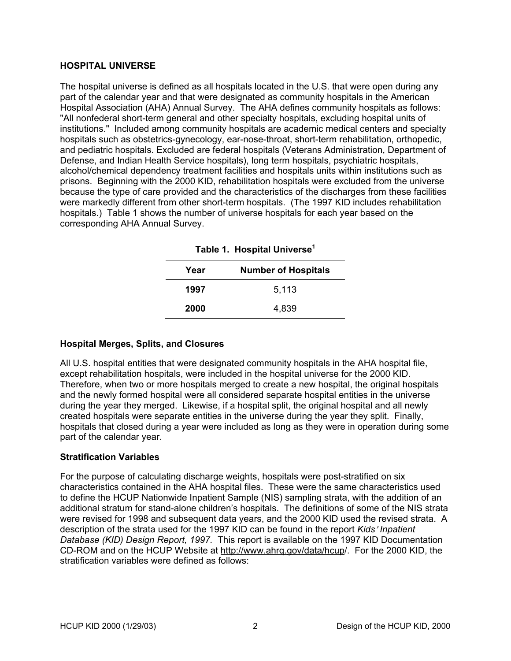#### <span id="page-8-0"></span>**HOSPITAL UNIVERSE**

The hospital universe is defined as all hospitals located in the U.S. that were open during any part of the calendar year and that were designated as community hospitals in the American Hospital Association (AHA) Annual Survey. The AHA defines community hospitals as follows: "All nonfederal short-term general and other specialty hospitals, excluding hospital units of institutions." Included among community hospitals are academic medical centers and specialty hospitals such as obstetrics-gynecology, ear-nose-throat, short-term rehabilitation, orthopedic, and pediatric hospitals. Excluded are federal hospitals (Veterans Administration, Department of Defense, and Indian Health Service hospitals), long term hospitals, psychiatric hospitals, alcohol/chemical dependency treatment facilities and hospitals units within institutions such as prisons. Beginning with the 2000 KID, rehabilitation hospitals were excluded from the universe because the type of care provided and the characteristics of the discharges from these facilities were markedly different from other short-term hospitals. (The 1997 KID includes rehabilitation hospitals.) [Table 1](#page-8-1) shows the number of universe hospitals for each year based on the corresponding AHA Annual Survey.

| Table 1. Hospital Universe' |                            |  |  |  |
|-----------------------------|----------------------------|--|--|--|
| Year                        | <b>Number of Hospitals</b> |  |  |  |
| 1997                        | 5,113                      |  |  |  |
| 2000                        | 4.839                      |  |  |  |

<span id="page-8-1"></span>

# **Hospital Merges, Splits, and Closures**

All U.S. hospital entities that were designated community hospitals in the AHA hospital file, except rehabilitation hospitals, were included in the hospital universe for the 2000 KID. Therefore, when two or more hospitals merged to create a new hospital, the original hospitals and the newly formed hospital were all considered separate hospital entities in the universe during the year they merged. Likewise, if a hospital split, the original hospital and all newly created hospitals were separate entities in the universe during the year they split. Finally, hospitals that closed during a year were included as long as they were in operation during some part of the calendar year.

# **Stratification Variables**

For the purpose of calculating discharge weights, hospitals were post-stratified on six characteristics contained in the AHA hospital files. These were the same characteristics used to define the HCUP Nationwide Inpatient Sample (NIS) sampling strata, with the addition of an additional stratum for stand-alone children's hospitals. The definitions of some of the NIS strata were revised for 1998 and subsequent data years, and the 2000 KID used the revised strata. A description of the strata used for the 1997 KID can be found in the report *Kids*= *Inpatient Database (KID) Design Report, 1997.* This report is available on the 1997 KID Documentation CD-ROM and on the HCUP Website at [http://www.ahrq.gov/data/hcup/](http://www.ahrq.gov/data/hcup). For the 2000 KID, the stratification variables were defined as follows: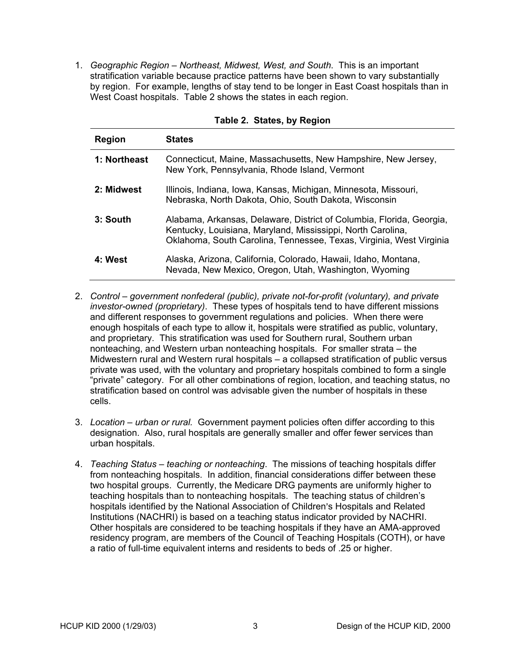<span id="page-9-0"></span>1. *Geographic Region – Northeast, Midwest, West, and South*. This is an important stratification variable because practice patterns have been shown to vary substantially by region. For example, lengths of stay tend to be longer in East Coast hospitals than in West Coast hospitals. [Table 2](#page-9-1) shows the states in each region.

| <b>Region</b> | <b>States</b>                                                                                                                                                                                              |
|---------------|------------------------------------------------------------------------------------------------------------------------------------------------------------------------------------------------------------|
| 1: Northeast  | Connecticut, Maine, Massachusetts, New Hampshire, New Jersey,<br>New York, Pennsylvania, Rhode Island, Vermont                                                                                             |
| 2: Midwest    | Illinois, Indiana, Iowa, Kansas, Michigan, Minnesota, Missouri,<br>Nebraska, North Dakota, Ohio, South Dakota, Wisconsin                                                                                   |
| 3: South      | Alabama, Arkansas, Delaware, District of Columbia, Florida, Georgia,<br>Kentucky, Louisiana, Maryland, Mississippi, North Carolina,<br>Oklahoma, South Carolina, Tennessee, Texas, Virginia, West Virginia |
| 4: West       | Alaska, Arizona, California, Colorado, Hawaii, Idaho, Montana,<br>Nevada, New Mexico, Oregon, Utah, Washington, Wyoming                                                                                    |

#### <span id="page-9-1"></span>**Table 2. States, by Region**

- 2. *Control government nonfederal (public), private not-for-profit (voluntary), and private investor-owned (proprietary)*. These types of hospitals tend to have different missions and different responses to government regulations and policies. When there were enough hospitals of each type to allow it, hospitals were stratified as public, voluntary, and proprietary. This stratification was used for Southern rural, Southern urban nonteaching, and Western urban nonteaching hospitals. For smaller strata – the Midwestern rural and Western rural hospitals – a collapsed stratification of public versus private was used, with the voluntary and proprietary hospitals combined to form a single "private" category. For all other combinations of region, location, and teaching status, no stratification based on control was advisable given the number of hospitals in these cells.
- 3. *Location urban or rural.* Government payment policies often differ according to this designation. Also, rural hospitals are generally smaller and offer fewer services than urban hospitals.
- 4. *Teaching Status teaching or nonteaching*. The missions of teaching hospitals differ from nonteaching hospitals. In addition, financial considerations differ between these two hospital groups. Currently, the Medicare DRG payments are uniformly higher to teaching hospitals than to nonteaching hospitals. The teaching status of children's hospitals identified by the National Association of Children's Hospitals and Related Institutions (NACHRI) is based on a teaching status indicator provided by NACHRI. Other hospitals are considered to be teaching hospitals if they have an AMA-approved residency program, are members of the Council of Teaching Hospitals (COTH), or have a ratio of full-time equivalent interns and residents to beds of .25 or higher.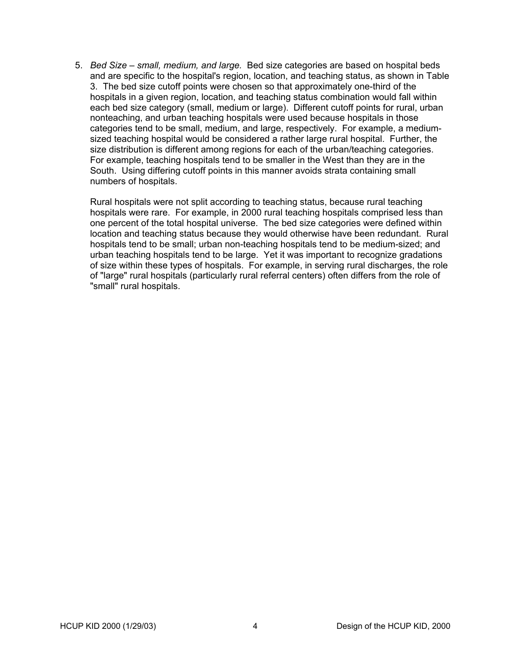5. *Bed Size – small, medium, and large.* Bed size categories are based on hospital beds and are specific to the hospital's region, location, and teaching status, as shown in [Table](#page-11-1) . The bed size cutoff points were chosen so that approximately one-third of the [3](#page-11-1) hospitals in a given region, location, and teaching status combination would fall within each bed size category (small, medium or large). Different cutoff points for rural, urban nonteaching, and urban teaching hospitals were used because hospitals in those categories tend to be small, medium, and large, respectively. For example, a mediumsized teaching hospital would be considered a rather large rural hospital. Further, the size distribution is different among regions for each of the urban/teaching categories. For example, teaching hospitals tend to be smaller in the West than they are in the South. Using differing cutoff points in this manner avoids strata containing small numbers of hospitals.

Rural hospitals were not split according to teaching status, because rural teaching hospitals were rare. For example, in 2000 rural teaching hospitals comprised less than one percent of the total hospital universe. The bed size categories were defined within location and teaching status because they would otherwise have been redundant. Rural hospitals tend to be small; urban non-teaching hospitals tend to be medium-sized; and urban teaching hospitals tend to be large. Yet it was important to recognize gradations of size within these types of hospitals. For example, in serving rural discharges, the role of "large" rural hospitals (particularly rural referral centers) often differs from the role of "small" rural hospitals.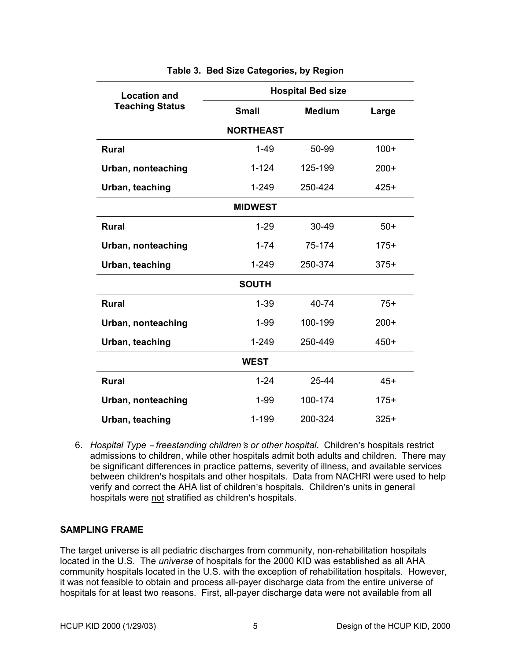<span id="page-11-0"></span>

| <b>Location and</b>    | <b>Hospital Bed size</b> |               |        |  |
|------------------------|--------------------------|---------------|--------|--|
| <b>Teaching Status</b> | <b>Small</b>             | <b>Medium</b> | Large  |  |
|                        | <b>NORTHEAST</b>         |               |        |  |
| <b>Rural</b>           | $1 - 49$                 | 50-99         | $100+$ |  |
| Urban, nonteaching     | $1 - 124$                | 125-199       | $200+$ |  |
| Urban, teaching        | $1 - 249$                | 250-424       | $425+$ |  |
|                        | <b>MIDWEST</b>           |               |        |  |
| <b>Rural</b>           | $1 - 29$                 | 30-49         | $50+$  |  |
| Urban, nonteaching     | $1 - 74$                 | 75-174        | $175+$ |  |
| Urban, teaching        | $1 - 249$                | 250-374       | $375+$ |  |
|                        | <b>SOUTH</b>             |               |        |  |
| <b>Rural</b>           | $1 - 39$                 | 40-74         | $75+$  |  |
| Urban, nonteaching     | $1 - 99$                 | 100-199       | $200+$ |  |
| Urban, teaching        | $1 - 249$                | 250-449       | $450+$ |  |
|                        | <b>WEST</b>              |               |        |  |
| <b>Rural</b>           | $1 - 24$                 | 25-44         | $45+$  |  |
| Urban, nonteaching     | $1 - 99$                 | 100-174       | $175+$ |  |
| Urban, teaching        | 1-199                    | 200-324       | $325+$ |  |

#### <span id="page-11-1"></span>**Table 3. Bed Size Categories, by Region**

6. *Hospital Type - freestanding children's or other hospital*. Children's hospitals restrict admissions to children, while other hospitals admit both adults and children. There may be significant differences in practice patterns, severity of illness, and available services between children's hospitals and other hospitals. Data from NACHRI were used to help verify and correct the AHA list of children's hospitals. Children's units in general hospitals were not stratified as children's hospitals.

# **SAMPLING FRAME**

The target universe is all pediatric discharges from community, non-rehabilitation hospitals located in the U.S. The *universe* of hospitals for the 2000 KID was established as all AHA community hospitals located in the U.S. with the exception of rehabilitation hospitals. However, it was not feasible to obtain and process all-payer discharge data from the entire universe of hospitals for at least two reasons. First, all-payer discharge data were not available from all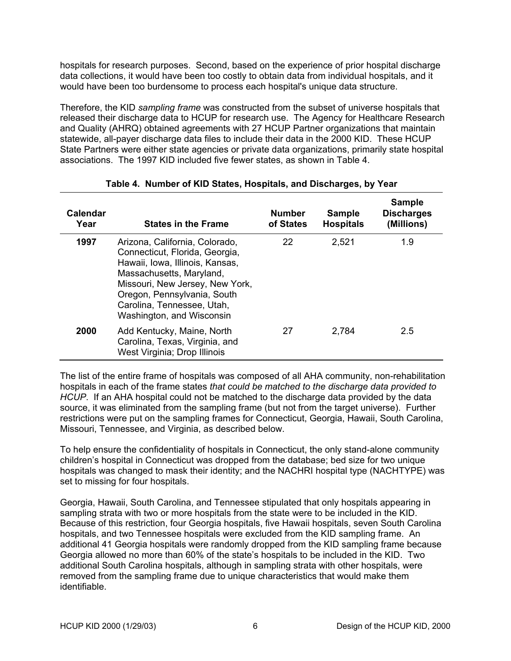<span id="page-12-0"></span>hospitals for research purposes. Second, based on the experience of prior hospital discharge data collections, it would have been too costly to obtain data from individual hospitals, and it would have been too burdensome to process each hospital's unique data structure.

Therefore, the KID *sampling frame* was constructed from the subset of universe hospitals that released their discharge data to HCUP for research use. The Agency for Healthcare Research and Quality (AHRQ) obtained agreements with 27 HCUP Partner organizations that maintain statewide, all-payer discharge data files to include their data in the 2000 KID. These HCUP State Partners were either state agencies or private data organizations, primarily state hospital associations. The 1997 KID included five fewer states, as shown in [Table 4.](#page-12-1)

| Calendar<br>Year | <b>States in the Frame</b>                                                                                                                                                                                                                                   | <b>Number</b><br>of States | <b>Sample</b><br><b>Hospitals</b> | <b>Sample</b><br><b>Discharges</b><br>(Millions) |
|------------------|--------------------------------------------------------------------------------------------------------------------------------------------------------------------------------------------------------------------------------------------------------------|----------------------------|-----------------------------------|--------------------------------------------------|
| 1997             | Arizona, California, Colorado,<br>Connecticut, Florida, Georgia,<br>Hawaii, Iowa, Illinois, Kansas,<br>Massachusetts, Maryland,<br>Missouri, New Jersey, New York,<br>Oregon, Pennsylvania, South<br>Carolina, Tennessee, Utah,<br>Washington, and Wisconsin | 22                         | 2,521                             | 1.9                                              |
| 2000             | Add Kentucky, Maine, North<br>Carolina, Texas, Virginia, and<br>West Virginia; Drop Illinois                                                                                                                                                                 | 27                         | 2,784                             | 2.5                                              |

# <span id="page-12-1"></span>**Table 4. Number of KID States, Hospitals, and Discharges, by Year**

The list of the entire frame of hospitals was composed of all AHA community, non-rehabilitation hospitals in each of the frame states *that could be matched to the discharge data provided to HCUP*. If an AHA hospital could not be matched to the discharge data provided by the data source, it was eliminated from the sampling frame (but not from the target universe). Further restrictions were put on the sampling frames for Connecticut, Georgia, Hawaii, South Carolina, Missouri, Tennessee, and Virginia, as described below.

To help ensure the confidentiality of hospitals in Connecticut, the only stand-alone community children's hospital in Connecticut was dropped from the database; bed size for two unique hospitals was changed to mask their identity; and the NACHRI hospital type (NACHTYPE) was set to missing for four hospitals.

Georgia, Hawaii, South Carolina, and Tennessee stipulated that only hospitals appearing in sampling strata with two or more hospitals from the state were to be included in the KID. Because of this restriction, four Georgia hospitals, five Hawaii hospitals, seven South Carolina hospitals, and two Tennessee hospitals were excluded from the KID sampling frame. An additional 41 Georgia hospitals were randomly dropped from the KID sampling frame because Georgia allowed no more than 60% of the state's hospitals to be included in the KID. Two additional South Carolina hospitals, although in sampling strata with other hospitals, were removed from the sampling frame due to unique characteristics that would make them identifiable.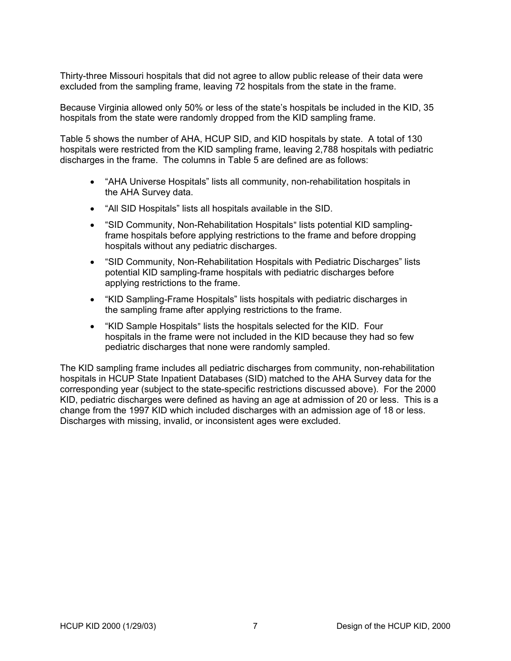Thirty-three Missouri hospitals that did not agree to allow public release of their data were excluded from the sampling frame, leaving 72 hospitals from the state in the frame.

Because Virginia allowed only 50% or less of the state's hospitals be included in the KID, 35 hospitals from the state were randomly dropped from the KID sampling frame.

[Table 5](#page-14-1) shows the number of AHA, HCUP SID, and KID hospitals by state. A total of 130 hospitals were restricted from the KID sampling frame, leaving 2,788 hospitals with pediatric discharges in the frame. The columns in [Table 5](#page-14-1) are defined are as follows:

- "AHA Universe Hospitals" lists all community, non-rehabilitation hospitals in the AHA Survey data.
- "All SID Hospitals" lists all hospitals available in the SID.
- "SID Community, Non-Rehabilitation Hospitals" lists potential KID samplingframe hospitals before applying restrictions to the frame and before dropping hospitals without any pediatric discharges.
- "SID Community, Non-Rehabilitation Hospitals with Pediatric Discharges" lists potential KID sampling-frame hospitals with pediatric discharges before applying restrictions to the frame.
- "KID Sampling-Frame Hospitals" lists hospitals with pediatric discharges in the sampling frame after applying restrictions to the frame.
- "KID Sample Hospitals" lists the hospitals selected for the KID. Four hospitals in the frame were not included in the KID because they had so few pediatric discharges that none were randomly sampled.

The KID sampling frame includes all pediatric discharges from community, non-rehabilitation hospitals in HCUP State Inpatient Databases (SID) matched to the AHA Survey data for the corresponding year (subject to the state-specific restrictions discussed above). For the 2000 KID, pediatric discharges were defined as having an age at admission of 20 or less. This is a change from the 1997 KID which included discharges with an admission age of 18 or less. Discharges with missing, invalid, or inconsistent ages were excluded.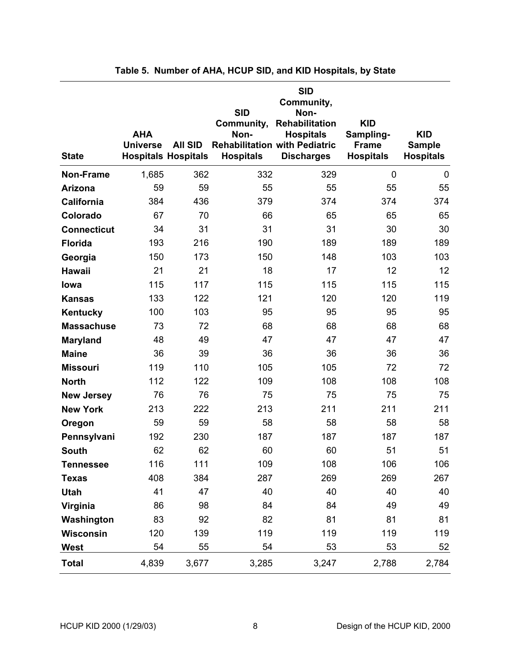<span id="page-14-0"></span>

| <b>State</b>       | <b>AHA</b><br><b>Universe</b> | <b>All SID</b><br><b>Hospitals Hospitals</b> | <b>SID</b><br>Community,<br>Non-<br><b>Rehabilitation with Pediatric</b><br><b>Hospitals</b> | <b>SID</b><br>Community,<br>Non-<br>Rehabilitation<br><b>Hospitals</b><br><b>Discharges</b> | <b>KID</b><br>Sampling-<br><b>Frame</b><br><b>Hospitals</b> | <b>KID</b><br><b>Sample</b><br><b>Hospitals</b> |
|--------------------|-------------------------------|----------------------------------------------|----------------------------------------------------------------------------------------------|---------------------------------------------------------------------------------------------|-------------------------------------------------------------|-------------------------------------------------|
| <b>Non-Frame</b>   | 1,685                         | 362                                          | 332                                                                                          | 329                                                                                         | 0                                                           | $\mathbf 0$                                     |
| Arizona            | 59                            | 59                                           | 55                                                                                           | 55                                                                                          | 55                                                          | 55                                              |
| California         | 384                           | 436                                          | 379                                                                                          | 374                                                                                         | 374                                                         | 374                                             |
| Colorado           | 67                            | 70                                           | 66                                                                                           | 65                                                                                          | 65                                                          | 65                                              |
| <b>Connecticut</b> | 34                            | 31                                           | 31                                                                                           | 31                                                                                          | 30                                                          | 30                                              |
| <b>Florida</b>     | 193                           | 216                                          | 190                                                                                          | 189                                                                                         | 189                                                         | 189                                             |
| Georgia            | 150                           | 173                                          | 150                                                                                          | 148                                                                                         | 103                                                         | 103                                             |
| <b>Hawaii</b>      | 21                            | 21                                           | 18                                                                                           | 17                                                                                          | 12                                                          | 12                                              |
| lowa               | 115                           | 117                                          | 115                                                                                          | 115                                                                                         | 115                                                         | 115                                             |
| <b>Kansas</b>      | 133                           | 122                                          | 121                                                                                          | 120                                                                                         | 120                                                         | 119                                             |
| Kentucky           | 100                           | 103                                          | 95                                                                                           | 95                                                                                          | 95                                                          | 95                                              |
| <b>Massachuse</b>  | 73                            | 72                                           | 68                                                                                           | 68                                                                                          | 68                                                          | 68                                              |
| <b>Maryland</b>    | 48                            | 49                                           | 47                                                                                           | 47                                                                                          | 47                                                          | 47                                              |
| <b>Maine</b>       | 36                            | 39                                           | 36                                                                                           | 36                                                                                          | 36                                                          | 36                                              |
| <b>Missouri</b>    | 119                           | 110                                          | 105                                                                                          | 105                                                                                         | 72                                                          | 72                                              |
| <b>North</b>       | 112                           | 122                                          | 109                                                                                          | 108                                                                                         | 108                                                         | 108                                             |
| <b>New Jersey</b>  | 76                            | 76                                           | 75                                                                                           | 75                                                                                          | 75                                                          | 75                                              |
| <b>New York</b>    | 213                           | 222                                          | 213                                                                                          | 211                                                                                         | 211                                                         | 211                                             |
| Oregon             | 59                            | 59                                           | 58                                                                                           | 58                                                                                          | 58                                                          | 58                                              |
| Pennsylvani        | 192                           | 230                                          | 187                                                                                          | 187                                                                                         | 187                                                         | 187                                             |
| <b>South</b>       | 62                            | 62                                           | 60                                                                                           | 60                                                                                          | 51                                                          | 51                                              |
| <b>Tennessee</b>   | 116                           | 111                                          | 109                                                                                          | 108                                                                                         | 106                                                         | 106                                             |
| <b>Texas</b>       | 408                           | 384                                          | 287                                                                                          | 269                                                                                         | 269                                                         | 267                                             |
| <b>Utah</b>        | 41                            | 47                                           | 40                                                                                           | 40                                                                                          | 40                                                          | 40                                              |
| Virginia           | 86                            | 98                                           | 84                                                                                           | 84                                                                                          | 49                                                          | 49                                              |
| Washington         | 83                            | 92                                           | 82                                                                                           | 81                                                                                          | 81                                                          | 81                                              |
| <b>Wisconsin</b>   | 120                           | 139                                          | 119                                                                                          | 119                                                                                         | 119                                                         | 119                                             |
| <b>West</b>        | 54                            | 55                                           | 54                                                                                           | 53                                                                                          | 53                                                          | 52                                              |
| <b>Total</b>       | 4,839                         | 3,677                                        | 3,285                                                                                        | 3,247                                                                                       | 2,788                                                       | 2,784                                           |

<span id="page-14-1"></span>

|  |  |  |  |  |  |  |  | Table 5. Number of AHA, HCUP SID, and KID Hospitals, by State |
|--|--|--|--|--|--|--|--|---------------------------------------------------------------|
|--|--|--|--|--|--|--|--|---------------------------------------------------------------|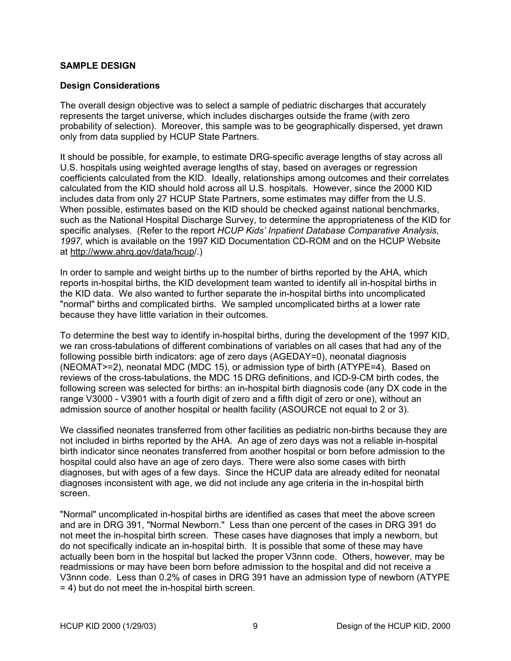#### <span id="page-15-0"></span>**SAMPLE DESIGN**

#### **Design Considerations**

The overall design objective was to select a sample of pediatric discharges that accurately represents the target universe, which includes discharges outside the frame (with zero probability of selection). Moreover, this sample was to be geographically dispersed, yet drawn only from data supplied by HCUP State Partners.

It should be possible, for example, to estimate DRG-specific average lengths of stay across all U.S. hospitals using weighted average lengths of stay, based on averages or regression coefficients calculated from the KID. Ideally, relationships among outcomes and their correlates calculated from the KID should hold across all U.S. hospitals. However, since the 2000 KID includes data from only 27 HCUP State Partners, some estimates may differ from the U.S. When possible, estimates based on the KID should be checked against national benchmarks, such as the National Hospital Discharge Survey, to determine the appropriateness of the KID for specific analyses. (Refer to the report *HCUP Kids' Inpatient Database Comparative Analysis, 1997,* which is available on the 1997 KID Documentation CD-ROM and on the HCUP Website at [http://www.ahrq.gov/data/hcup/](http://www.ahrq.gov/data/hcup).)

In order to sample and weight births up to the number of births reported by the AHA, which reports in-hospital births, the KID development team wanted to identify all in-hospital births in the KID data. We also wanted to further separate the in-hospital births into uncomplicated "normal" births and complicated births. We sampled uncomplicated births at a lower rate because they have little variation in their outcomes.

To determine the best way to identify in-hospital births, during the development of the 1997 KID, we ran cross-tabulations of different combinations of variables on all cases that had any of the following possible birth indicators: age of zero days (AGEDAY=0), neonatal diagnosis (NEOMAT>=2), neonatal MDC (MDC 15), or admission type of birth (ATYPE=4). Based on reviews of the cross-tabulations, the MDC 15 DRG definitions, and ICD-9-CM birth codes, the following screen was selected for births: an in-hospital birth diagnosis code (any DX code in the range V3000 - V3901 with a fourth digit of zero and a fifth digit of zero or one), without an admission source of another hospital or health facility (ASOURCE not equal to 2 or 3).

We classified neonates transferred from other facilities as pediatric non-births because they are not included in births reported by the AHA. An age of zero days was not a reliable in-hospital birth indicator since neonates transferred from another hospital or born before admission to the hospital could also have an age of zero days. There were also some cases with birth diagnoses, but with ages of a few days. Since the HCUP data are already edited for neonatal diagnoses inconsistent with age, we did not include any age criteria in the in-hospital birth screen.

"Normal" uncomplicated in-hospital births are identified as cases that meet the above screen and are in DRG 391, "Normal Newborn." Less than one percent of the cases in DRG 391 do not meet the in-hospital birth screen. These cases have diagnoses that imply a newborn, but do not specifically indicate an in-hospital birth. It is possible that some of these may have actually been born in the hospital but lacked the proper V3nnn code. Others, however, may be readmissions or may have been born before admission to the hospital and did not receive a V3nnn code. Less than 0.2% of cases in DRG 391 have an admission type of newborn (ATYPE = 4) but do not meet the in-hospital birth screen.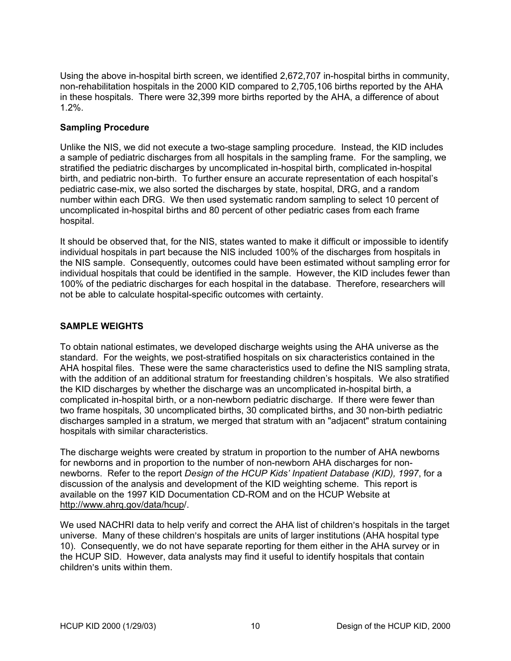<span id="page-16-0"></span>Using the above in-hospital birth screen, we identified 2,672,707 in-hospital births in community, non-rehabilitation hospitals in the 2000 KID compared to 2,705,106 births reported by the AHA in these hospitals. There were 32,399 more births reported by the AHA, a difference of about 1.2%.

# **Sampling Procedure**

Unlike the NIS, we did not execute a two-stage sampling procedure. Instead, the KID includes a sample of pediatric discharges from all hospitals in the sampling frame. For the sampling, we stratified the pediatric discharges by uncomplicated in-hospital birth, complicated in-hospital birth, and pediatric non-birth. To further ensure an accurate representation of each hospital's pediatric case-mix, we also sorted the discharges by state, hospital, DRG, and a random number within each DRG. We then used systematic random sampling to select 10 percent of uncomplicated in-hospital births and 80 percent of other pediatric cases from each frame hospital.

It should be observed that, for the NIS, states wanted to make it difficult or impossible to identify individual hospitals in part because the NIS included 100% of the discharges from hospitals in the NIS sample. Consequently, outcomes could have been estimated without sampling error for individual hospitals that could be identified in the sample. However, the KID includes fewer than 100% of the pediatric discharges for each hospital in the database. Therefore, researchers will not be able to calculate hospital-specific outcomes with certainty.

# **SAMPLE WEIGHTS**

To obtain national estimates, we developed discharge weights using the AHA universe as the standard. For the weights, we post-stratified hospitals on six characteristics contained in the AHA hospital files. These were the same characteristics used to define the NIS sampling strata, with the addition of an additional stratum for freestanding children's hospitals. We also stratified the KID discharges by whether the discharge was an uncomplicated in-hospital birth, a complicated in-hospital birth, or a non-newborn pediatric discharge. If there were fewer than two frame hospitals, 30 uncomplicated births, 30 complicated births, and 30 non-birth pediatric discharges sampled in a stratum, we merged that stratum with an "adjacent" stratum containing hospitals with similar characteristics.

The discharge weights were created by stratum in proportion to the number of AHA newborns for newborns and in proportion to the number of non-newborn AHA discharges for nonnewborns. Refer to the report *Design of the HCUP Kids' Inpatient Database (KID), 1997*, for a discussion of the analysis and development of the KID weighting scheme. This report is available on the 1997 KID Documentation CD-ROM and on the HCUP Website at [http://www.ahrq.gov/data/hcup/](http://www.ahrq.gov/data/hcup).

We used NACHRI data to help verify and correct the AHA list of children's hospitals in the target universe. Many of these children's hospitals are units of larger institutions (AHA hospital type 10). Consequently, we do not have separate reporting for them either in the AHA survey or in the HCUP SID. However, data analysts may find it useful to identify hospitals that contain children's units within them.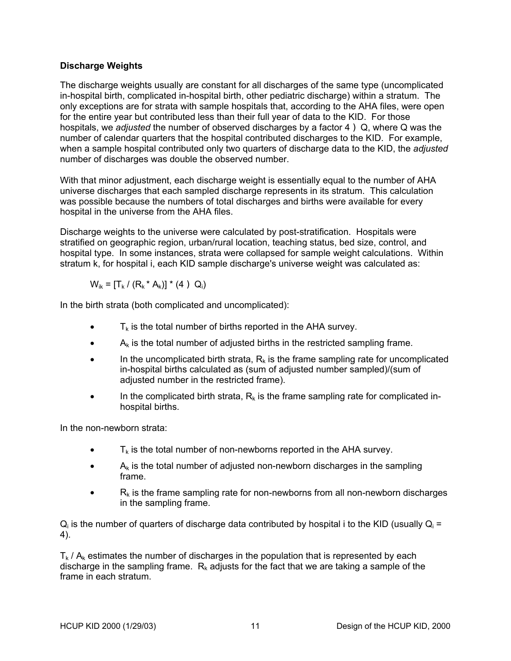# <span id="page-17-0"></span>**Discharge Weights**

The discharge weights usually are constant for all discharges of the same type (uncomplicated in-hospital birth, complicated in-hospital birth, other pediatric discharge) within a stratum. The only exceptions are for strata with sample hospitals that, according to the AHA files, were open for the entire year but contributed less than their full year of data to the KID. For those hospitals, we *adjusted* the number of observed discharges by a factor 4 ) Q, where Q was the number of calendar quarters that the hospital contributed discharges to the KID. For example, when a sample hospital contributed only two quarters of discharge data to the KID, the *adjusted* number of discharges was double the observed number.

With that minor adjustment, each discharge weight is essentially equal to the number of AHA universe discharges that each sampled discharge represents in its stratum. This calculation was possible because the numbers of total discharges and births were available for every hospital in the universe from the AHA files.

Discharge weights to the universe were calculated by post-stratification. Hospitals were stratified on geographic region, urban/rural location, teaching status, bed size, control, and hospital type. In some instances, strata were collapsed for sample weight calculations. Within stratum k, for hospital i, each KID sample discharge's universe weight was calculated as:

$$
W_{ik} = [T_k / (R_k * A_k)] * (4) Q_i)
$$

In the birth strata (both complicated and uncomplicated):

- $T_k$  is the total number of births reported in the AHA survey.
- $\bullet$  A<sub>k</sub> is the total number of adjusted births in the restricted sampling frame.
- In the uncomplicated birth strata,  $R_k$  is the frame sampling rate for uncomplicated in-hospital births calculated as (sum of adjusted number sampled)/(sum of adjusted number in the restricted frame).
- In the complicated birth strata,  $R_k$  is the frame sampling rate for complicated inhospital births.

In the non-newborn strata:

- $\bullet$   $\mathsf{T}_k$  is the total number of non-newborns reported in the AHA survey.
- $A_k$  is the total number of adjusted non-newborn discharges in the sampling frame.
- $R_k$  is the frame sampling rate for non-newborns from all non-newborn discharges in the sampling frame.

 $Q_i$  is the number of quarters of discharge data contributed by hospital i to the KID (usually  $Q_i =$ 4).

 $T_k$  /  $A_k$  estimates the number of discharges in the population that is represented by each discharge in the sampling frame.  $R_k$  adjusts for the fact that we are taking a sample of the frame in each stratum.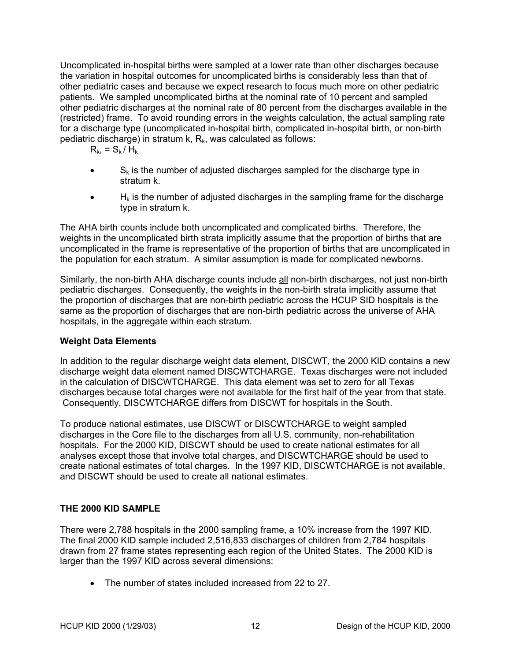<span id="page-18-0"></span>Uncomplicated in-hospital births were sampled at a lower rate than other discharges because the variation in hospital outcomes for uncomplicated births is considerably less than that of other pediatric cases and because we expect research to focus much more on other pediatric patients. We sampled uncomplicated births at the nominal rate of 10 percent and sampled other pediatric discharges at the nominal rate of 80 percent from the discharges available in the (restricted) frame. To avoid rounding errors in the weights calculation, the actual sampling rate for a discharge type (uncomplicated in-hospital birth, complicated in-hospital birth, or non-birth pediatric discharge) in stratum  $k$ ,  $R_k$ , was calculated as follows:

- $R_{k} = S_{k} / H_{k}$
- $S_k$  is the number of adjusted discharges sampled for the discharge type in stratum k.
- $\bullet$  H<sub>k</sub> is the number of adjusted discharges in the sampling frame for the discharge type in stratum k.

The AHA birth counts include both uncomplicated and complicated births. Therefore, the weights in the uncomplicated birth strata implicitly assume that the proportion of births that are uncomplicated in the frame is representative of the proportion of births that are uncomplicated in the population for each stratum. A similar assumption is made for complicated newborns.

Similarly, the non-birth AHA discharge counts include all non-birth discharges, not just non-birth pediatric discharges. Consequently, the weights in the non-birth strata implicitly assume that the proportion of discharges that are non-birth pediatric across the HCUP SID hospitals is the same as the proportion of discharges that are non-birth pediatric across the universe of AHA hospitals, in the aggregate within each stratum.

# **Weight Data Elements**

In addition to the regular discharge weight data element, DISCWT, the 2000 KID contains a new discharge weight data element named DISCWTCHARGE. Texas discharges were not included in the calculation of DISCWTCHARGE. This data element was set to zero for all Texas discharges because total charges were not available for the first half of the year from that state. Consequently, DISCWTCHARGE differs from DISCWT for hospitals in the South.

To produce national estimates, use DISCWT or DISCWTCHARGE to weight sampled discharges in the Core file to the discharges from all U.S. community, non-rehabilitation hospitals. For the 2000 KID, DISCWT should be used to create national estimates for all analyses except those that involve total charges, and DISCWTCHARGE should be used to create national estimates of total charges. In the 1997 KID, DISCWTCHARGE is not available, and DISCWT should be used to create all national estimates.

# **THE 2000 KID SAMPLE**

There were 2,788 hospitals in the 2000 sampling frame, a 10% increase from the 1997 KID. The final 2000 KID sample included 2,516,833 discharges of children from 2,784 hospitals drawn from 27 frame states representing each region of the United States. The 2000 KID is larger than the 1997 KID across several dimensions:

• The number of states included increased from 22 to 27.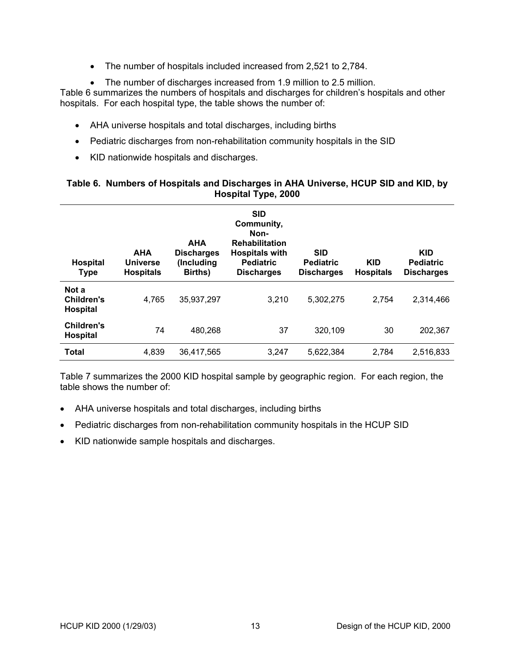- The number of hospitals included increased from 2,521 to 2,784.
- The number of discharges increased from 1.9 million to 2.5 million.

<span id="page-19-0"></span>[Table 6](#page-19-1) summarizes the numbers of hospitals and discharges for children's hospitals and other hospitals. For each hospital type, the table shows the number of:

- AHA universe hospitals and total discharges, including births
- Pediatric discharges from non-rehabilitation community hospitals in the SID
- KID nationwide hospitals and discharges.

#### <span id="page-19-1"></span>**Table 6. Numbers of Hospitals and Discharges in AHA Universe, HCUP SID and KID, by Hospital Type, 2000**

| <b>Hospital</b><br><b>Type</b>         | <b>AHA</b><br><b>Universe</b><br><b>Hospitals</b> | <b>AHA</b><br><b>Discharges</b><br>(Including<br>Births) | <b>SID</b><br>Community,<br>Non-<br><b>Rehabilitation</b><br><b>Hospitals with</b><br><b>Pediatric</b><br><b>Discharges</b> | <b>SID</b><br><b>Pediatric</b><br><b>Discharges</b> | <b>KID</b><br><b>Hospitals</b> | <b>KID</b><br><b>Pediatric</b><br><b>Discharges</b> |
|----------------------------------------|---------------------------------------------------|----------------------------------------------------------|-----------------------------------------------------------------------------------------------------------------------------|-----------------------------------------------------|--------------------------------|-----------------------------------------------------|
| Not a<br>Children's<br><b>Hospital</b> | 4,765                                             | 35,937,297                                               | 3,210                                                                                                                       | 5,302,275                                           | 2,754                          | 2.314.466                                           |
| Children's<br><b>Hospital</b>          | 74                                                | 480,268                                                  | 37                                                                                                                          | 320,109                                             | 30                             | 202,367                                             |
| <b>Total</b>                           | 4,839                                             | 36,417,565                                               | 3,247                                                                                                                       | 5,622,384                                           | 2,784                          | 2,516,833                                           |

[Table 7](#page-20-1) summarizes the 2000 KID hospital sample by geographic region. For each region, the table shows the number of:

- AHA universe hospitals and total discharges, including births
- Pediatric discharges from non-rehabilitation community hospitals in the HCUP SID
- KID nationwide sample hospitals and discharges.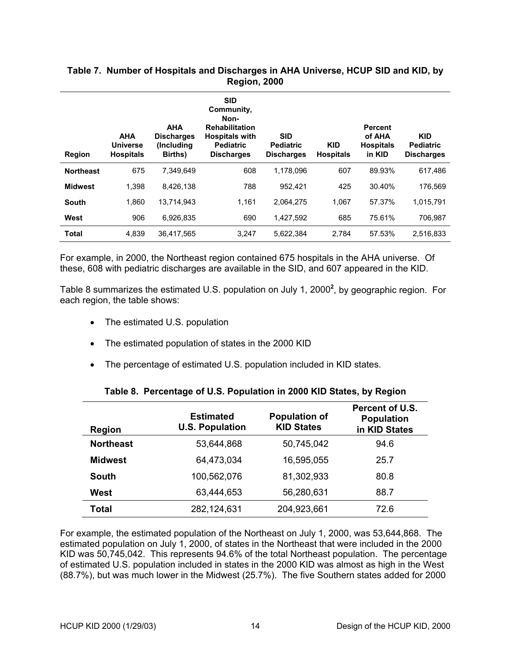#### **Region AHA Universe Hospitals AHA Discharges (Including Births) SID Community, Non-Rehabilitation Hospitals with Pediatric Discharges SID Pediatric Discharges KID Hospitals Percent of AHA Hospitals in KID KID Pediatric Discharges Northeast** 675 7,349,649 608 1,178,096 607 89.93% 617,486 **Midwest** 1,398 8,426,138 788 952,421 425 30.40% 176,569 **South** 1,860 13,714,943 1,161 2,064,275 1,067 57.37% 1,015,791

#### <span id="page-20-1"></span><span id="page-20-0"></span>**Table 7. Number of Hospitals and Discharges in AHA Universe, HCUP SID and KID, by Region, 2000**

For example, in 2000, the Northeast region contained 675 hospitals in the AHA universe. Of these, 608 with pediatric discharges are available in the SID, and 607 appeared in the KID.

**West** 906 6,926,835 690 1,427,592 685 75.61% 706,987 **Total** 4,839 36,417,565 3,247 5,622,384 2,784 57.53% 2,516,833

[Table 8](#page-20-2) summarizes the estimated U.S. population on July 1, [2](#page-27-2)000<sup>2</sup>, by geographic region. For each region, the table shows:

- The estimated U.S. population
- The estimated population of states in the 2000 KID
- The percentage of estimated U.S. population included in KID states.

| <b>Region</b>    | <b>Estimated</b><br><b>U.S. Population</b> | <b>Population of</b><br><b>KID States</b> | Percent of U.S.<br><b>Population</b><br>in KID States |
|------------------|--------------------------------------------|-------------------------------------------|-------------------------------------------------------|
| <b>Northeast</b> | 53,644,868                                 | 50,745,042                                | 94.6                                                  |
| <b>Midwest</b>   | 64,473,034                                 | 16,595,055                                | 25.7                                                  |
| South            | 100,562,076                                | 81,302,933                                | 80.8                                                  |
| West             | 63,444,653                                 | 56,280,631                                | 88.7                                                  |
| <b>Total</b>     | 282,124,631                                | 204,923,661                               | 72.6                                                  |

#### <span id="page-20-2"></span>**Table 8. Percentage of U.S. Population in 2000 KID States, by Region**

For example, the estimated population of the Northeast on July 1, 2000, was 53,644,868. The estimated population on July 1, 2000, of states in the Northeast that were included in the 2000 KID was 50,745,042. This represents 94.6% of the total Northeast population. The percentage of estimated U.S. population included in states in the 2000 KID was almost as high in the West (88.7%), but was much lower in the Midwest (25.7%). The five Southern states added for 2000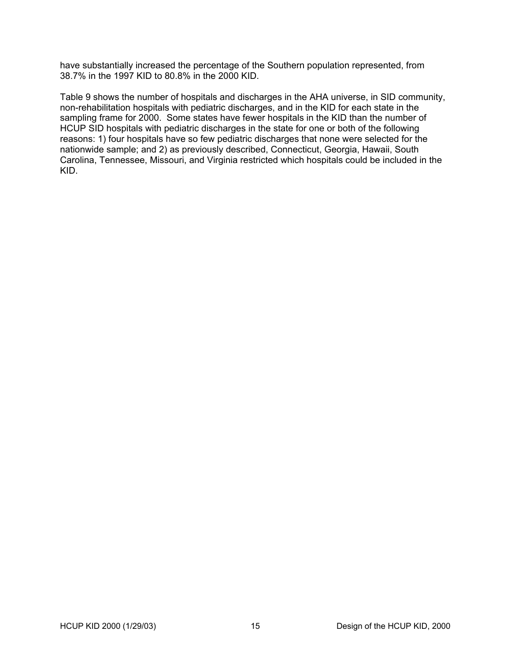have substantially increased the percentage of the Southern population represented, from 38.7% in the 1997 KID to 80.8% in the 2000 KID.

[Table 9](#page-22-1) shows the number of hospitals and discharges in the AHA universe, in SID community, non-rehabilitation hospitals with pediatric discharges, and in the KID for each state in the sampling frame for 2000. Some states have fewer hospitals in the KID than the number of HCUP SID hospitals with pediatric discharges in the state for one or both of the following reasons: 1) four hospitals have so few pediatric discharges that none were selected for the nationwide sample; and 2) as previously described, Connecticut, Georgia, Hawaii, South Carolina, Tennessee, Missouri, and Virginia restricted which hospitals could be included in the KID.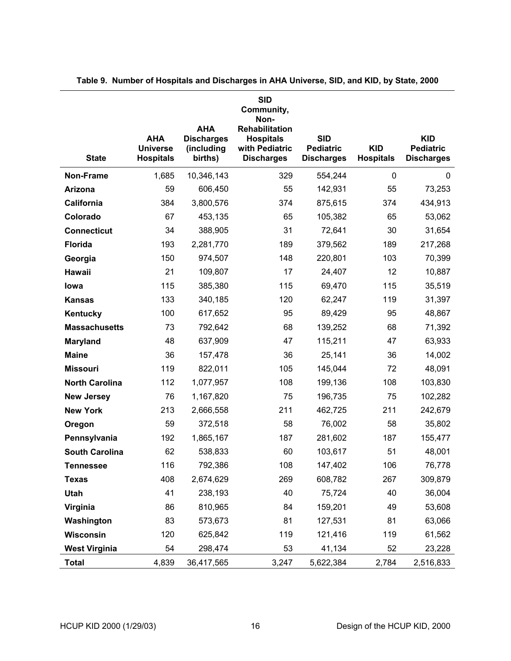|                       |                                                   |                                                          | <b>SID</b><br>Community,<br>Non-                                          |                                                     |                                |                                                     |
|-----------------------|---------------------------------------------------|----------------------------------------------------------|---------------------------------------------------------------------------|-----------------------------------------------------|--------------------------------|-----------------------------------------------------|
| <b>State</b>          | <b>AHA</b><br><b>Universe</b><br><b>Hospitals</b> | <b>AHA</b><br><b>Discharges</b><br>(including<br>births) | Rehabilitation<br><b>Hospitals</b><br>with Pediatric<br><b>Discharges</b> | <b>SID</b><br><b>Pediatric</b><br><b>Discharges</b> | <b>KID</b><br><b>Hospitals</b> | <b>KID</b><br><b>Pediatric</b><br><b>Discharges</b> |
| Non-Frame             | 1,685                                             | 10,346,143                                               | 329                                                                       | 554,244                                             | $\mathbf 0$                    | 0                                                   |
| <b>Arizona</b>        | 59                                                | 606,450                                                  | 55                                                                        | 142,931                                             | 55                             | 73,253                                              |
| California            | 384                                               | 3,800,576                                                | 374                                                                       | 875,615                                             | 374                            | 434,913                                             |
| Colorado              | 67                                                | 453,135                                                  | 65                                                                        | 105,382                                             | 65                             | 53,062                                              |
| <b>Connecticut</b>    | 34                                                | 388,905                                                  | 31                                                                        | 72,641                                              | 30                             | 31,654                                              |
| <b>Florida</b>        | 193                                               | 2,281,770                                                | 189                                                                       | 379,562                                             | 189                            | 217,268                                             |
| Georgia               | 150                                               | 974,507                                                  | 148                                                                       | 220,801                                             | 103                            | 70,399                                              |
| Hawaii                | 21                                                | 109,807                                                  | 17                                                                        | 24,407                                              | 12                             | 10,887                                              |
| lowa                  | 115                                               | 385,380                                                  | 115                                                                       | 69,470                                              | 115                            | 35,519                                              |
| <b>Kansas</b>         | 133                                               | 340,185                                                  | 120                                                                       | 62,247                                              | 119                            | 31,397                                              |
| Kentucky              | 100                                               | 617,652                                                  | 95                                                                        | 89,429                                              | 95                             | 48,867                                              |
| <b>Massachusetts</b>  | 73                                                | 792,642                                                  | 68                                                                        | 139,252                                             | 68                             | 71,392                                              |
| <b>Maryland</b>       | 48                                                | 637,909                                                  | 47                                                                        | 115,211                                             | 47                             | 63,933                                              |
| <b>Maine</b>          | 36                                                | 157,478                                                  | 36                                                                        | 25,141                                              | 36                             | 14,002                                              |
| <b>Missouri</b>       | 119                                               | 822,011                                                  | 105                                                                       | 145,044                                             | 72                             | 48,091                                              |
| <b>North Carolina</b> | 112                                               | 1,077,957                                                | 108                                                                       | 199,136                                             | 108                            | 103,830                                             |
| <b>New Jersey</b>     | 76                                                | 1,167,820                                                | 75                                                                        | 196,735                                             | 75                             | 102,282                                             |
| <b>New York</b>       | 213                                               | 2,666,558                                                | 211                                                                       | 462,725                                             | 211                            | 242,679                                             |
| Oregon                | 59                                                | 372,518                                                  | 58                                                                        | 76,002                                              | 58                             | 35,802                                              |
| Pennsylvania          | 192                                               | 1,865,167                                                | 187                                                                       | 281,602                                             | 187                            | 155,477                                             |
| <b>South Carolina</b> | 62                                                | 538,833                                                  | 60                                                                        | 103,617                                             | 51                             | 48,001                                              |
| <b>Tennessee</b>      | 116                                               | 792,386                                                  | 108                                                                       | 147,402                                             | 106                            | 76,778                                              |
| <b>Texas</b>          | 408                                               | 2,674,629                                                | 269                                                                       | 608,782                                             | 267                            | 309,879                                             |
| <b>Utah</b>           | 41                                                | 238,193                                                  | 40                                                                        | 75,724                                              | 40                             | 36,004                                              |
| Virginia              | 86                                                | 810,965                                                  | 84                                                                        | 159,201                                             | 49                             | 53,608                                              |
| Washington            | 83                                                | 573,673                                                  | 81                                                                        | 127,531                                             | 81                             | 63,066                                              |
| Wisconsin             | 120                                               | 625,842                                                  | 119                                                                       | 121,416                                             | 119                            | 61,562                                              |
| <b>West Virginia</b>  | 54                                                | 298,474                                                  | 53                                                                        | 41,134                                              | 52                             | 23,228                                              |
| <b>Total</b>          | 4,839                                             | 36,417,565                                               | 3,247                                                                     | 5,622,384                                           | 2,784                          | 2,516,833                                           |

<span id="page-22-1"></span><span id="page-22-0"></span>**Table 9. Number of Hospitals and Discharges in AHA Universe, SID, and KID, by State, 2000**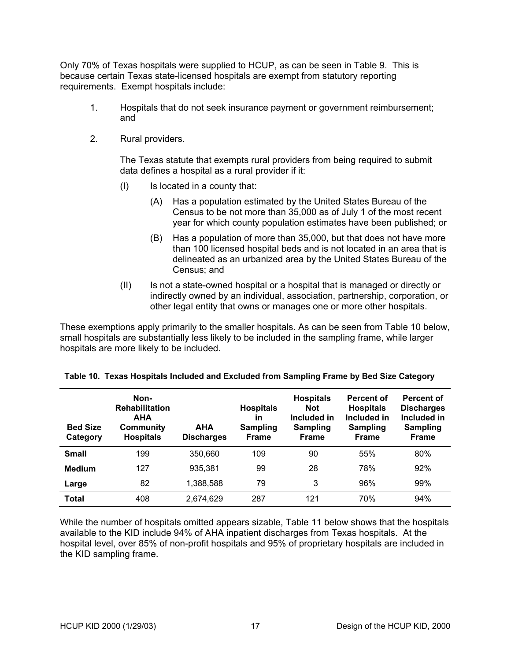<span id="page-23-0"></span>Only 70% of Texas hospitals were supplied to HCUP, as can be seen in [Table 9.](#page-22-1) This is because certain Texas state-licensed hospitals are exempt from statutory reporting requirements. Exempt hospitals include:

- 1. Hospitals that do not seek insurance payment or government reimbursement; and
- 2. Rural providers.

The Texas statute that exempts rural providers from being required to submit data defines a hospital as a rural provider if it:

- (I) Is located in a county that:
	- (A) Has a population estimated by the United States Bureau of the Census to be not more than 35,000 as of July 1 of the most recent year for which county population estimates have been published; or
	- (B) Has a population of more than 35,000, but that does not have more than 100 licensed hospital beds and is not located in an area that is delineated as an urbanized area by the United States Bureau of the Census; and
- (II) Is not a state-owned hospital or a hospital that is managed or directly or indirectly owned by an individual, association, partnership, corporation, or other legal entity that owns or manages one or more other hospitals.

These exemptions apply primarily to the smaller hospitals. As can be seen from [Table 10](#page-23-1) below, small hospitals are substantially less likely to be included in the sampling frame, while larger hospitals are more likely to be included.

| <b>Bed Size</b><br>Category | Non-<br><b>Rehabilitation</b><br><b>AHA</b><br>Community<br><b>Hospitals</b> | <b>AHA</b><br><b>Discharges</b> | <b>Hospitals</b><br>in<br><b>Sampling</b><br><b>Frame</b> | <b>Hospitals</b><br><b>Not</b><br>Included in<br><b>Sampling</b><br><b>Frame</b> | Percent of<br><b>Hospitals</b><br>Included in<br><b>Sampling</b><br><b>Frame</b> | <b>Percent of</b><br><b>Discharges</b><br>Included in<br><b>Sampling</b><br>Frame |
|-----------------------------|------------------------------------------------------------------------------|---------------------------------|-----------------------------------------------------------|----------------------------------------------------------------------------------|----------------------------------------------------------------------------------|-----------------------------------------------------------------------------------|
| <b>Small</b>                | 199                                                                          | 350,660                         | 109                                                       | 90                                                                               | 55%                                                                              | 80%                                                                               |
| <b>Medium</b>               | 127                                                                          | 935,381                         | 99                                                        | 28                                                                               | 78%                                                                              | 92%                                                                               |
| Large                       | 82                                                                           | 1,388,588                       | 79                                                        | 3                                                                                | 96%                                                                              | 99%                                                                               |
| <b>Total</b>                | 408                                                                          | 2,674,629                       | 287                                                       | 121                                                                              | 70%                                                                              | 94%                                                                               |

<span id="page-23-1"></span>

|  | Table 10. Texas Hospitals Included and Excluded from Sampling Frame by Bed Size Category |  |  |  |
|--|------------------------------------------------------------------------------------------|--|--|--|
|  |                                                                                          |  |  |  |

While the number of hospitals omitted appears sizable, [Table](#page-24-1) 11 below shows that the hospitals available to the KID include 94% of AHA inpatient discharges from Texas hospitals. At the hospital level, over 85% of non-profit hospitals and 95% of proprietary hospitals are included in the KID sampling frame.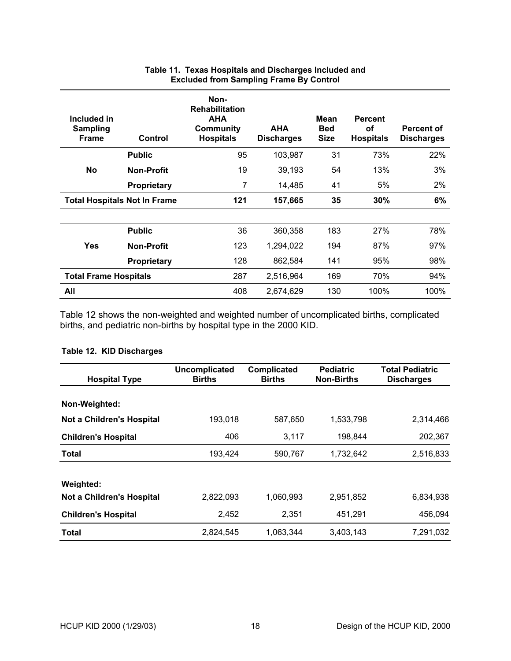<span id="page-24-0"></span>

| Included in<br><b>Sampling</b><br><b>Frame</b> | Control            | Non-<br><b>Rehabilitation</b><br><b>AHA</b><br>Community<br><b>Hospitals</b> | <b>AHA</b><br><b>Discharges</b> | Mean<br><b>Bed</b><br><b>Size</b> | <b>Percent</b><br><b>of</b><br><b>Hospitals</b> | <b>Percent of</b><br><b>Discharges</b> |
|------------------------------------------------|--------------------|------------------------------------------------------------------------------|---------------------------------|-----------------------------------|-------------------------------------------------|----------------------------------------|
|                                                | <b>Public</b>      | 95                                                                           | 103,987                         | 31                                | 73%                                             | 22%                                    |
| <b>No</b>                                      | <b>Non-Profit</b>  | 19                                                                           | 39,193                          | 54                                | 13%                                             | 3%                                     |
|                                                | Proprietary        | 7                                                                            | 14,485                          | 41                                | 5%                                              | 2%                                     |
| <b>Total Hospitals Not In Frame</b>            |                    | 121                                                                          | 157,665                         | 35                                | 30%                                             | 6%                                     |
|                                                |                    |                                                                              |                                 |                                   |                                                 |                                        |
|                                                | <b>Public</b>      | 36                                                                           | 360,358                         | 183                               | 27%                                             | 78%                                    |
| <b>Yes</b>                                     | <b>Non-Profit</b>  | 123                                                                          | 1,294,022                       | 194                               | 87%                                             | 97%                                    |
|                                                | <b>Proprietary</b> | 128                                                                          | 862,584                         | 141                               | 95%                                             | 98%                                    |
| <b>Total Frame Hospitals</b>                   |                    | 287                                                                          | 2,516,964                       | 169                               | 70%                                             | 94%                                    |
| All                                            |                    | 408                                                                          | 2,674,629                       | 130                               | 100%                                            | 100%                                   |

#### <span id="page-24-1"></span>**Table 11. Texas Hospitals and Discharges Included and Excluded from Sampling Frame By Control**

[Table 12](#page-24-2) shows the non-weighted and weighted number of uncomplicated births, complicated births, and pediatric non-births by hospital type in the 2000 KID.

| <b>Hospital Type</b>       | <b>Uncomplicated</b><br><b>Births</b> | Complicated<br><b>Births</b> | <b>Pediatric</b><br><b>Non-Births</b> | <b>Total Pediatric</b><br><b>Discharges</b> |
|----------------------------|---------------------------------------|------------------------------|---------------------------------------|---------------------------------------------|
| Non-Weighted:              |                                       |                              |                                       |                                             |
| Not a Children's Hospital  | 193,018                               | 587,650                      | 1,533,798                             | 2,314,466                                   |
| <b>Children's Hospital</b> | 406                                   | 3,117                        | 198,844                               | 202,367                                     |
| <b>Total</b>               | 193,424                               | 590,767                      | 1,732,642                             | 2,516,833                                   |
| Weighted:                  |                                       |                              |                                       |                                             |
| Not a Children's Hospital  | 2,822,093                             | 1,060,993                    | 2,951,852                             | 6,834,938                                   |
| <b>Children's Hospital</b> | 2,452                                 | 2,351                        | 451,291                               | 456,094                                     |
| <b>Total</b>               | 2,824,545                             | 1,063,344                    | 3,403,143                             | 7,291,032                                   |

# <span id="page-24-2"></span>**Table 12. KID Discharges**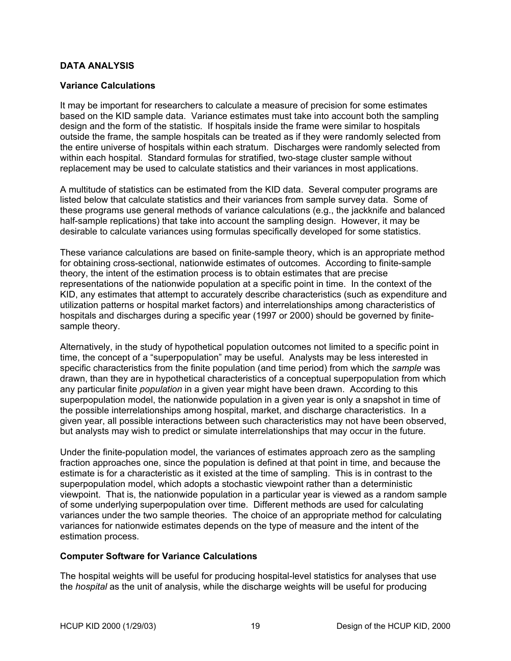#### <span id="page-25-0"></span>**DATA ANALYSIS**

#### **Variance Calculations**

It may be important for researchers to calculate a measure of precision for some estimates based on the KID sample data. Variance estimates must take into account both the sampling design and the form of the statistic. If hospitals inside the frame were similar to hospitals outside the frame, the sample hospitals can be treated as if they were randomly selected from the entire universe of hospitals within each stratum. Discharges were randomly selected from within each hospital. Standard formulas for stratified, two-stage cluster sample without replacement may be used to calculate statistics and their variances in most applications.

A multitude of statistics can be estimated from the KID data. Several computer programs are listed below that calculate statistics and their variances from sample survey data. Some of these programs use general methods of variance calculations (e.g., the jackknife and balanced half-sample replications) that take into account the sampling design. However, it may be desirable to calculate variances using formulas specifically developed for some statistics.

These variance calculations are based on finite-sample theory, which is an appropriate method for obtaining cross-sectional, nationwide estimates of outcomes. According to finite-sample theory, the intent of the estimation process is to obtain estimates that are precise representations of the nationwide population at a specific point in time. In the context of the KID, any estimates that attempt to accurately describe characteristics (such as expenditure and utilization patterns or hospital market factors) and interrelationships among characteristics of hospitals and discharges during a specific year (1997 or 2000) should be governed by finitesample theory.

Alternatively, in the study of hypothetical population outcomes not limited to a specific point in time, the concept of a "superpopulation" may be useful. Analysts may be less interested in specific characteristics from the finite population (and time period) from which the *sample* was drawn, than they are in hypothetical characteristics of a conceptual superpopulation from which any particular finite *population* in a given year might have been drawn. According to this superpopulation model, the nationwide population in a given year is only a snapshot in time of the possible interrelationships among hospital, market, and discharge characteristics. In a given year, all possible interactions between such characteristics may not have been observed, but analysts may wish to predict or simulate interrelationships that may occur in the future.

Under the finite-population model, the variances of estimates approach zero as the sampling fraction approaches one, since the population is defined at that point in time, and because the estimate is for a characteristic as it existed at the time of sampling. This is in contrast to the superpopulation model, which adopts a stochastic viewpoint rather than a deterministic viewpoint. That is, the nationwide population in a particular year is viewed as a random sample of some underlying superpopulation over time. Different methods are used for calculating variances under the two sample theories. The choice of an appropriate method for calculating variances for nationwide estimates depends on the type of measure and the intent of the estimation process.

#### **Computer Software for Variance Calculations**

The hospital weights will be useful for producing hospital-level statistics for analyses that use the *hospital* as the unit of analysis, while the discharge weights will be useful for producing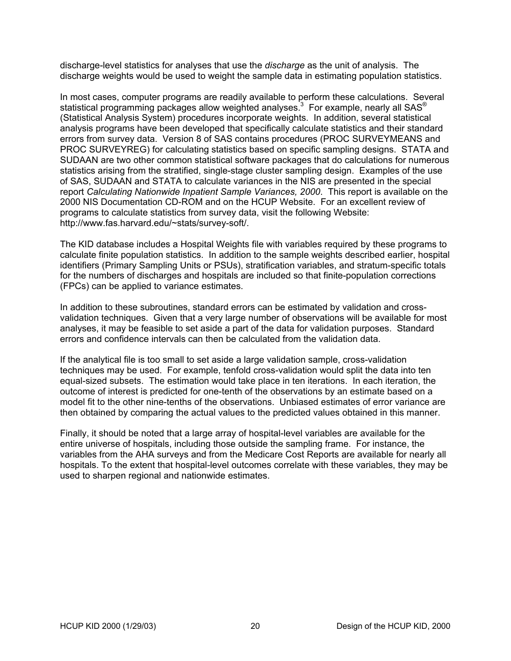discharge-level statistics for analyses that use the *discharge* as the unit of analysis. The discharge weights would be used to weight the sample data in estimating population statistics.

In most cases, computer programs are readily available to perform these calculations. Several statistical programming packages allow weighted analyses. $^3\,$  $^3\,$  $^3\,$  For example, nearly all SAS $^\circ$ (Statistical Analysis System) procedures incorporate weights. In addition, several statistical analysis programs have been developed that specifically calculate statistics and their standard errors from survey data. Version 8 of SAS contains procedures (PROC SURVEYMEANS and PROC SURVEYREG) for calculating statistics based on specific sampling designs. STATA and SUDAAN are two other common statistical software packages that do calculations for numerous statistics arising from the stratified, single-stage cluster sampling design. Examples of the use of SAS, SUDAAN and STATA to calculate variances in the NIS are presented in the special report *Calculating Nationwide Inpatient Sample Variances, 2000*. This report is available on the 2000 NIS Documentation CD-ROM and on the HCUP Website. For an excellent review of programs to calculate statistics from survey data, visit the following Website: http://www.fas.harvard.edu/~stats/survey-soft/.

The KID database includes a Hospital Weights file with variables required by these programs to calculate finite population statistics. In addition to the sample weights described earlier, hospital identifiers (Primary Sampling Units or PSUs), stratification variables, and stratum-specific totals for the numbers of discharges and hospitals are included so that finite-population corrections (FPCs) can be applied to variance estimates.

In addition to these subroutines, standard errors can be estimated by validation and crossvalidation techniques. Given that a very large number of observations will be available for most analyses, it may be feasible to set aside a part of the data for validation purposes. Standard errors and confidence intervals can then be calculated from the validation data.

If the analytical file is too small to set aside a large validation sample, cross-validation techniques may be used. For example, tenfold cross-validation would split the data into ten equal-sized subsets. The estimation would take place in ten iterations. In each iteration, the outcome of interest is predicted for one-tenth of the observations by an estimate based on a model fit to the other nine-tenths of the observations. Unbiased estimates of error variance are then obtained by comparing the actual values to the predicted values obtained in this manner.

Finally, it should be noted that a large array of hospital-level variables are available for the entire universe of hospitals, including those outside the sampling frame. For instance, the variables from the AHA surveys and from the Medicare Cost Reports are available for nearly all hospitals. To the extent that hospital-level outcomes correlate with these variables, they may be used to sharpen regional and nationwide estimates.